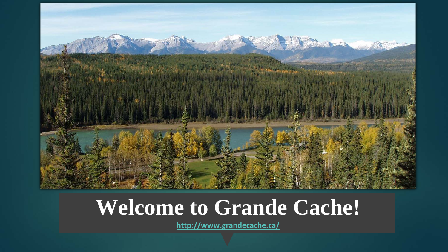

#### **Welcome to Grande Cache!**

**<http://www.grandecache.ca/>**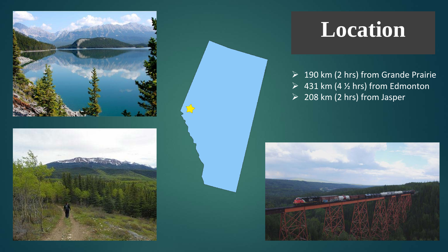



### **Location**

 $\geq$  190 km (2 hrs) from Grande Prairie  $\geq$  431 km (4 % hrs) from Edmonton  $208$  km (2 hrs) from Jasper

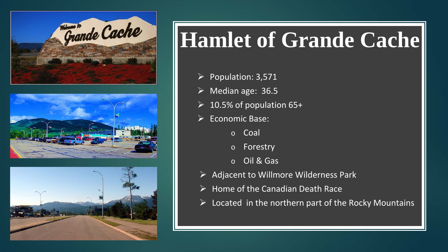





## **Hamlet of Grande Cache**

- $\triangleright$  Population: 3,571
- $\triangleright$  Median age: 36.5
- $\geq 10.5\%$  of population 65+
- $\triangleright$  Economic Base:
	- o Coal
	- o Forestry
	- o Oil & Gas
- $\triangleright$  Adjacent to Willmore Wilderness Park
- $\triangleright$  Home of the Canadian Death Race
- $\triangleright$  Located in the northern part of the Rocky Mountains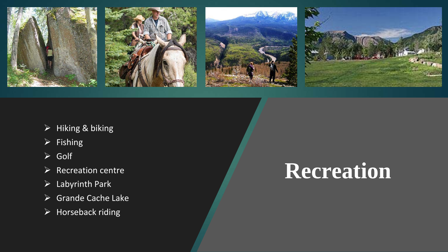

- $\triangleright$  Hiking & biking
- $\triangleright$  Fishing
- Golf
- $\triangleright$  Recreation centre
- $\triangleright$  Labyrinth Park
- $\triangleright$  Grande Cache Lake
- $\triangleright$  Horseback riding

## **Recreation**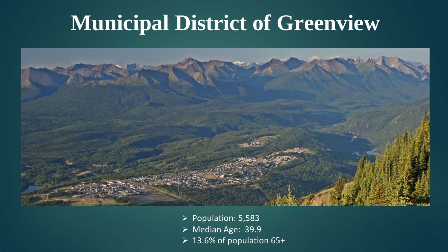### **Municipal District of Greenview**



- $\triangleright$  Population: 5,583
- ▶ Median Age: 39.9
- $\geq 13.6\%$  of population 65+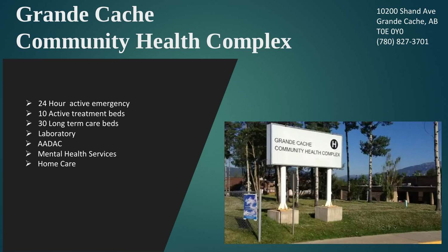# **Grande Cache Community Health Complex**

10200 Shand Ave Grande Cache, AB T0E 0Y0 (780) 827-3701

- $\geq$  24 Hour active emergency
- $\triangleright$  10 Active treatment beds
- $\geq$  30 Long term care beds
- Laboratory
- $\triangleright$  AADAC
- Mental Health Services
- $\triangleright$  Home Care